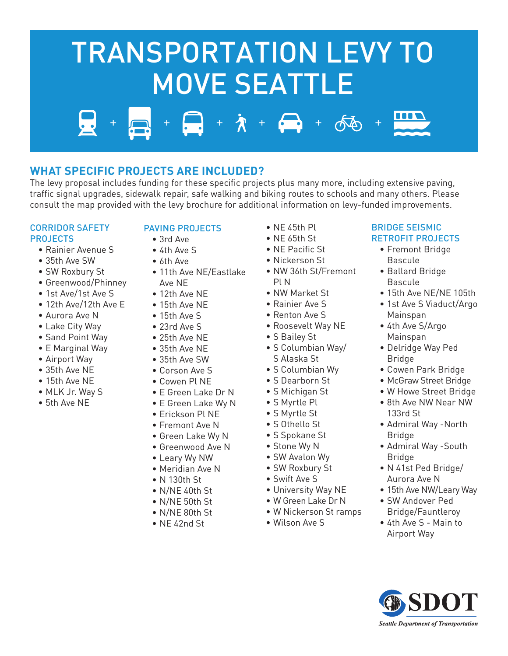# $\lambda + \frac{1}{2} + \frac{1}{2}$ TRANSPORTATION LEVY TO MOVE SEATTLE



The levy proposal includes funding for these specific projects plus many more, including extensive paving, traffic signal upgrades, sidewalk repair, safe walking and biking routes to schools and many others. Please consult the map provided with the levy brochure for additional information on levy-funded improvements.

# CORRIDOR SAFETY PROJECTS

- Rainier Avenue S
- 35th Ave SW
- SW Roxbury St
- Greenwood/Phinney
- 1st Ave/1st Ave S
- 12th Ave/12th Ave E
- Aurora Ave N
- Lake City Way
- Sand Point Way
- E Marginal Way
- Airport Way
- 35th Ave NE
- 15th Ave NE
- MLK Jr. Way S
- 5th Ave NE

# PAVING PROJECTS

- 3rd Ave
- 4th Ave S
- 6th Ave
- 11th Ave NE/Eastlake Ave NE
- 12th Ave NE
- 15th Ave NE
- 15th Ave S
- 23rd Ave S
- 25th Ave NE
- 35th Ave NE
- 35th Ave SW
- Corson Ave S
- Cowen Pl NE
- 
- E Green Lake Dr N
- E Green Lake Wy N • Erickson Pl NE
- Fremont Ave N
- 
- Green Lake Wy N
- Greenwood Ave N
- Leary Wy NW
- Meridian Ave N
- N 130th St
- N/NE 40th St
- N/NE 50th St
- N/NE 80th St
- NE 42nd St
- NE 45th Pl
- NE 65th St
- NE Pacific St
- Nickerson St
- NW 36th St/Fremont Pl N
- NW Market St
- Rainier Ave S
- Renton Ave S
- Roosevelt Way NE
- S Bailey St
- S Columbian Way/ S Alaska St
- S Columbian Wy
- S Dearborn St
- S Michigan St
- S Myrtle Pl
- S Myrtle St
- S Othello St
- S Spokane St
- Stone Wy N
- SW Avalon Wy
- SW Roxbury St
- Swift Ave S
- University Way NE
- W Green Lake Dr N
- W Nickerson St ramps
- Wilson Ave S

# BRIDGE SEISMIC RETROFIT PROJECTS

- Fremont Bridge Bascule
- Ballard Bridge Bascule
- 15th Ave NE/NE 105th
- 1st Ave S Viaduct/Argo Mainspan
- 4th Ave S/Argo Mainspan
- Delridge Way Ped Bridge
- Cowen Park Bridge
- McGraw Street Bridge
- W Howe Street Bridge
- 8th Ave NW Near NW 133rd St
- Admiral Way -North Bridge
- Admiral Way -South **Bridge**
- N 41st Ped Bridge/ Aurora Ave N
- 15th Ave NW/Leary Way
- SW Andover Ped Bridge/Fauntleroy
- 4th Ave S Main to Airport Way